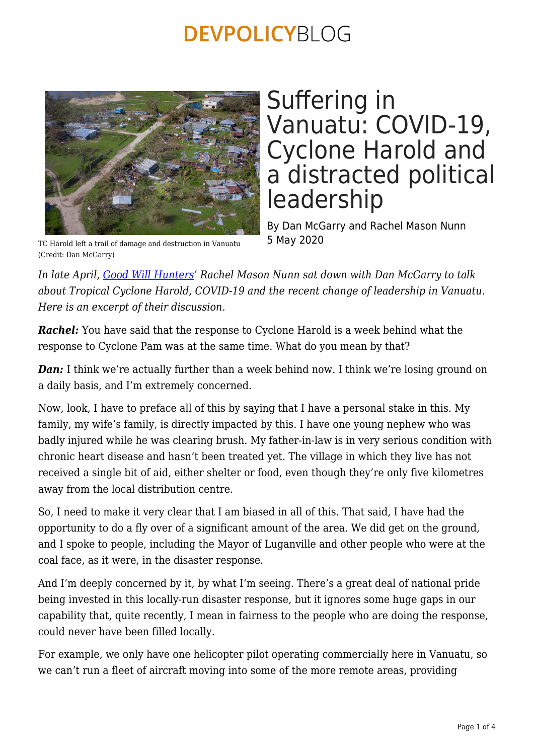

# Suffering in Vanuatu: COVID-19, Cyclone Harold and a distracted political leadership

By Dan McGarry and Rachel Mason Nunn 5 May 2020

TC Harold left a trail of damage and destruction in Vanuatu (Credit: Dan McGarry)

*In late April, [Good Will Hunters](https://goodwillhunterspodcast.com.au)' Rachel Mason Nunn sat down with Dan McGarry to talk about Tropical Cyclone Harold, COVID-19 and the recent change of leadership in Vanuatu. Here is an excerpt of their discussion.*

*Rachel:* You have said that the response to Cyclone Harold is a week behind what the response to Cyclone Pam was at the same time. What do you mean by that?

**Dan:** I think we're actually further than a week behind now. I think we're losing ground on a daily basis, and I'm extremely concerned.

Now, look, I have to preface all of this by saying that I have a personal stake in this. My family, my wife's family, is directly impacted by this. I have one young nephew who was badly injured while he was clearing brush. My father-in-law is in very serious condition with chronic heart disease and hasn't been treated yet. The village in which they live has not received a single bit of aid, either shelter or food, even though they're only five kilometres away from the local distribution centre.

So, I need to make it very clear that I am biased in all of this. That said, I have had the opportunity to do a fly over of a significant amount of the area. We did get on the ground, and I spoke to people, including the Mayor of Luganville and other people who were at the coal face, as it were, in the disaster response.

And I'm deeply concerned by it, by what I'm seeing. There's a great deal of national pride being invested in this locally-run disaster response, but it ignores some huge gaps in our capability that, quite recently, I mean in fairness to the people who are doing the response, could never have been filled locally.

For example, we only have one helicopter pilot operating commercially here in Vanuatu, so we can't run a fleet of aircraft moving into some of the more remote areas, providing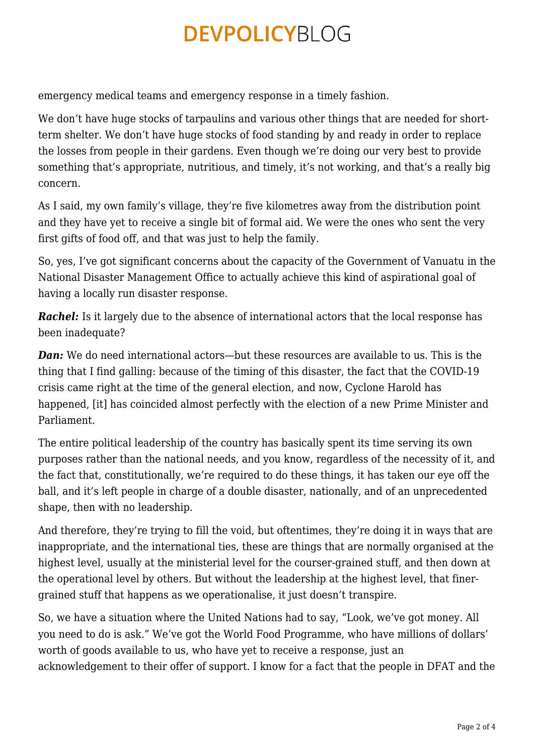emergency medical teams and emergency response in a timely fashion.

We don't have huge stocks of tarpaulins and various other things that are needed for shortterm shelter. We don't have huge stocks of food standing by and ready in order to replace the losses from people in their gardens. Even though we're doing our very best to provide something that's appropriate, nutritious, and timely, it's not working, and that's a really big concern.

As I said, my own family's village, they're five kilometres away from the distribution point and they have yet to receive a single bit of formal aid. We were the ones who sent the very first gifts of food off, and that was just to help the family.

So, yes, I've got significant concerns about the capacity of the Government of Vanuatu in the National Disaster Management Office to actually achieve this kind of aspirational goal of having a locally run disaster response.

**Rachel:** Is it largely due to the absence of international actors that the local response has been inadequate?

*Dan:* We do need international actors—but these resources are available to us. This is the thing that I find galling: because of the timing of this disaster, the fact that the COVID-19 crisis came right at the time of the general election, and now, Cyclone Harold has happened, [it] has coincided almost perfectly with the election of a new Prime Minister and Parliament.

The entire political leadership of the country has basically spent its time serving its own purposes rather than the national needs, and you know, regardless of the necessity of it, and the fact that, constitutionally, we're required to do these things, it has taken our eye off the ball, and it's left people in charge of a double disaster, nationally, and of an unprecedented shape, then with no leadership.

And therefore, they're trying to fill the void, but oftentimes, they're doing it in ways that are inappropriate, and the international ties, these are things that are normally organised at the highest level, usually at the ministerial level for the courser-grained stuff, and then down at the operational level by others. But without the leadership at the highest level, that finergrained stuff that happens as we operationalise, it just doesn't transpire.

So, we have a situation where the United Nations had to say, "Look, we've got money. All you need to do is ask." We've got the World Food Programme, who have millions of dollars' worth of goods available to us, who have yet to receive a response, just an acknowledgement to their offer of support. I know for a fact that the people in DFAT and the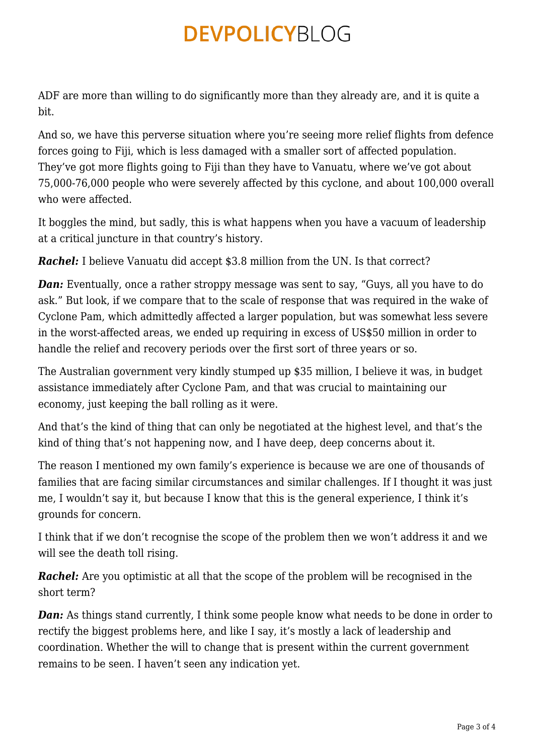ADF are more than willing to do significantly more than they already are, and it is quite a bit.

And so, we have this perverse situation where you're seeing more relief flights from defence forces going to Fiji, which is less damaged with a smaller sort of affected population. They've got more flights going to Fiji than they have to Vanuatu, where we've got about 75,000-76,000 people who were severely affected by this cyclone, and about 100,000 overall who were affected.

It boggles the mind, but sadly, this is what happens when you have a vacuum of leadership at a critical juncture in that country's history.

**Rachel:** I believe Vanuatu did accept \$3.8 million from the UN. Is that correct?

*Dan:* Eventually, once a rather stroppy message was sent to say, "Guys, all you have to do ask." But look, if we compare that to the scale of response that was required in the wake of Cyclone Pam, which admittedly affected a larger population, but was somewhat less severe in the worst-affected areas, we ended up requiring in excess of US\$50 million in order to handle the relief and recovery periods over the first sort of three years or so.

The Australian government very kindly stumped up \$35 million, I believe it was, in budget assistance immediately after Cyclone Pam, and that was crucial to maintaining our economy, just keeping the ball rolling as it were.

And that's the kind of thing that can only be negotiated at the highest level, and that's the kind of thing that's not happening now, and I have deep, deep concerns about it.

The reason I mentioned my own family's experience is because we are one of thousands of families that are facing similar circumstances and similar challenges. If I thought it was just me, I wouldn't say it, but because I know that this is the general experience, I think it's grounds for concern.

I think that if we don't recognise the scope of the problem then we won't address it and we will see the death toll rising.

**Rachel:** Are you optimistic at all that the scope of the problem will be recognised in the short term?

*Dan:* As things stand currently, I think some people know what needs to be done in order to rectify the biggest problems here, and like I say, it's mostly a lack of leadership and coordination. Whether the will to change that is present within the current government remains to be seen. I haven't seen any indication yet.